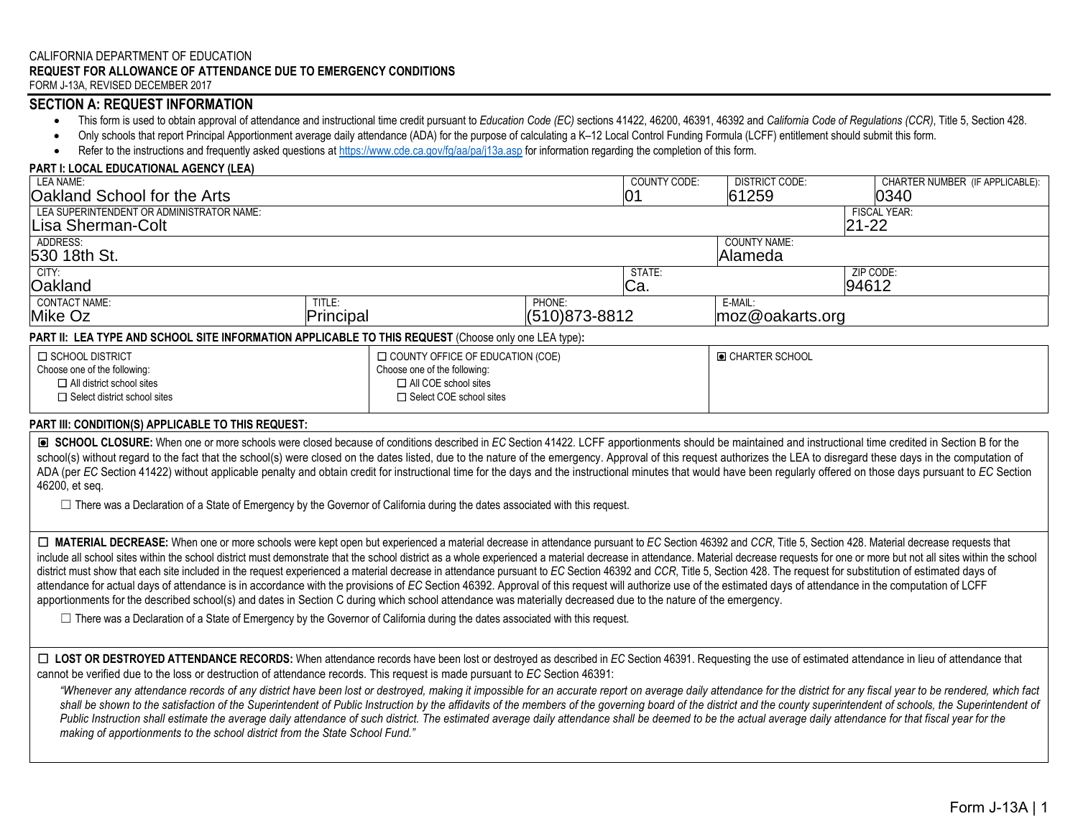## CALIFORNIA DEPARTMENT OF EDUCATION **REQUEST FOR ALLOWANCE OF ATTENDANCE DUE TO EMERGENCY CONDITIONS**

FORM J-13A, REVISED DECEMBER 2017

## **SECTION A: REQUEST INFORMATION**

- This form is used to obtain approval of attendance and instructional time credit pursuant to Education Code (EC) sections 41422, 46200, 46391, 46392 and California Code of Regulations (CCR), Title 5, Section 428.
- Only schools that report Principal Apportionment average daily attendance (ADA) for the purpose of calculating a K–12 Local Control Funding Formula (LCFF) entitlement should submit this form.
- Refer to the instructions and frequently asked questions at https://www.cde.ca.gov/fg/aa/pa/j13a.asp for information regarding the completion of this form.

□ All COE school sites

#### **PART I: LOCAL EDUCATIONAL AGENCY (LEA)**

| LEA NAME:                                                                                            |                              |                                         | <b>COUNTY CODE:</b><br><b>DISTRICT CODE:</b> | CHARTER NUMBER (IF APPLICABLE): |
|------------------------------------------------------------------------------------------------------|------------------------------|-----------------------------------------|----------------------------------------------|---------------------------------|
| Oakland School for the Arts                                                                          |                              | 01                                      | 61259                                        | 0340                            |
| LEA SUPERINTENDENT OR ADMINISTRATOR NAME:                                                            |                              |                                         |                                              | <b>FISCAL YEAR:</b>             |
| Lisa Sherman-Colt                                                                                    |                              |                                         |                                              | $21 - 22$                       |
| ADDRESS:                                                                                             |                              |                                         | <b>COUNTY NAME:</b>                          |                                 |
| 530 18th St.                                                                                         |                              |                                         | lAlameda                                     |                                 |
| CITY:                                                                                                |                              | STATE:                                  |                                              | ZIP CODE:                       |
| Oakland                                                                                              |                              | Ca.                                     |                                              | 94612                           |
| CONTACT NAME:                                                                                        | TITLE:                       | PHONE:                                  | E-MAIL:                                      |                                 |
| Mike Oz                                                                                              | Principal                    | $(510)873 - 8812$                       | moz@oakarts.org                              |                                 |
| PART II: LEA TYPE AND SCHOOL SITE INFORMATION APPLICABLE TO THIS REQUEST (Choose only one LEA type): |                              |                                         |                                              |                                 |
| I □ SCHOOL DISTRICT                                                                                  |                              | $\Box$ COUNTY OFFICE OF EDUCATION (COE) | O CHARTER SCHOOL                             |                                 |
| Choose one of the following:                                                                         | Choose one of the following: |                                         |                                              |                                 |

### **PART III: CONDITION(S) APPLICABLE TO THIS REQUEST:**

☐ All district school sites □ Select district school sites

 ☐ **SCHOOL CLOSURE:** When one or more schools were closed because of conditions described in *EC* Section 41422. LCFF apportionments should be maintained and instructional time credited in Section B for the school(s) without regard to the fact that the school(s) were closed on the dates listed, due to the nature of the emergency. Approval of this request authorizes the LEA to disregard these days in the computation of ADA (per EC Section 41422) without applicable penalty and obtain credit for instructional time for the days and the instructional minutes that would have been regularly offered on those days pursuant to EC Section 46200, et seq.

□ There was a Declaration of a State of Emergency by the Governor of California during the dates associated with this request.

Select district school sites Select COE school sites Select COE school sites Select COE school sites

include all school sites within the school district must demonstrate that the school district as a whole experienced a material decrease in attendance. Material decrease requests for one or more but not all sites within th district must show that each site included in the request experienced a material decrease in attendance pursuant to EC Section 46392 and CCR, Title 5, Section 428. The request for substitution of estimated days of attendance for actual days of attendance is in accordance with the provisions of *EC* Section 46392. Approval of this request will authorize use of the estimated days of attendance in the computation of LCFF apportionments for the described school(s) and dates in Section C during which school attendance was materially decreased due to the nature of the emergency. ☐ **MATERIAL DECREASE:** When one or more schools were kept open but experienced a material decrease in attendance pursuant to *EC* Section 46392 and *CCR*, Title 5, Section 428. Material decrease requests that

 $\Box$  There was a Declaration of a State of Emergency by the Governor of California during the dates associated with this request.

□ LOST OR DESTROYED ATTENDANCE RECORDS: When attendance records have been lost or destroyed as described in *EC* Section 46391. Requesting the use of estimated attendance in lieu of attendance that cannot be verified due to the loss or destruction of attendance records. This request is made pursuant to *EC* Section 46391:

"Whenever any attendance records of any district have been lost or destroyed, making it impossible for an accurate report on average daily attendance for the district for any fiscal year to be rendered, which fact shall be shown to the satisfaction of the Superintendent of Public Instruction by the affidavits of the members of the governing board of the district and the county superintendent of schools, the Superintendent of Public Instruction shall estimate the average daily attendance of such district. The estimated average daily attendance shall be deemed to be the actual average daily attendance for that fiscal year for the  *making of apportionments to the school district from the State School Fund."*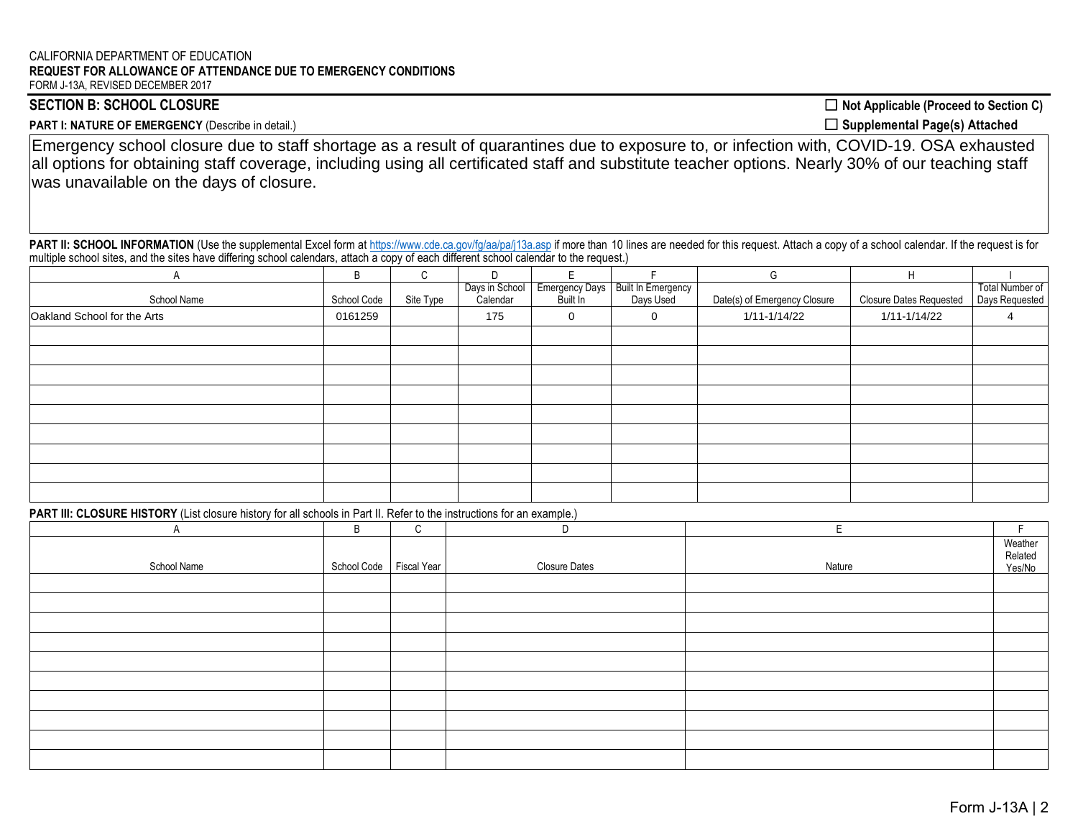#### FORM J-13A, REVISED DECEMBER 2017 CALIFORNIA DEPARTMENT OF EDUCATION **REQUEST FOR ALLOWANCE OF ATTENDANCE DUE TO EMERGENCY CONDITIONS**

SECTION B: SCHOOL CLOSURE ◯ Not Applicable (Proceed to Section C)

PART I: NATURE OF EMERGENCY (Describe in detail.) ◯ **Supplemental Page(s) Attached** 

Emergency school closure due to staff shortage as a result of quarantines due to exposure to, or infection with, COVID-19. OSA exhausted all options for obtaining staff coverage, including using all certificated staff and substitute teacher options. Nearly 30% of our teaching staff was unavailable on the days of closure.

PART II: SCHOOL INFORMATION (Use the supplemental Excel form at https://www.cde.ca.gov/fg/aa/pa/j13a.asp if more than 10 lines are needed for this request. Attach a copy of a school calendar. If the request is for multiple school sites, and the sites have differing school calendars, attach a copy of each different school calendar to the request.)

|                             | B           | C         |                |                       |                           | G                            | н                              |                 |
|-----------------------------|-------------|-----------|----------------|-----------------------|---------------------------|------------------------------|--------------------------------|-----------------|
|                             |             |           | Days in School | <b>Emergency Days</b> | <b>Built In Emergency</b> |                              |                                | Total Number of |
| School Name                 | School Code | Site Type | Calendar       | Built In              | Days Used                 | Date(s) of Emergency Closure | <b>Closure Dates Requested</b> | Days Requested  |
| Oakland School for the Arts | 0161259     |           | 175            | 0                     | $\mathbf 0$               | 1/11-1/14/22                 | 1/11-1/14/22                   |                 |
|                             |             |           |                |                       |                           |                              |                                |                 |
|                             |             |           |                |                       |                           |                              |                                |                 |
|                             |             |           |                |                       |                           |                              |                                |                 |
|                             |             |           |                |                       |                           |                              |                                |                 |
|                             |             |           |                |                       |                           |                              |                                |                 |
|                             |             |           |                |                       |                           |                              |                                |                 |
|                             |             |           |                |                       |                           |                              |                                |                 |
|                             |             |           |                |                       |                           |                              |                                |                 |
|                             |             |           |                |                       |                           |                              |                                |                 |

**PART III: CLOSURE HISTORY** (List closure history for all schools in Part II. Refer to the instructions for an example.)

| A           | B           | C           | D                    | F      |                              |
|-------------|-------------|-------------|----------------------|--------|------------------------------|
| School Name | School Code | Fiscal Year | <b>Closure Dates</b> | Nature | Weather<br>Related<br>Yes/No |
|             |             |             |                      |        |                              |
|             |             |             |                      |        |                              |
|             |             |             |                      |        |                              |
|             |             |             |                      |        |                              |
|             |             |             |                      |        |                              |
|             |             |             |                      |        |                              |
|             |             |             |                      |        |                              |
|             |             |             |                      |        |                              |
|             |             |             |                      |        |                              |
|             |             |             |                      |        |                              |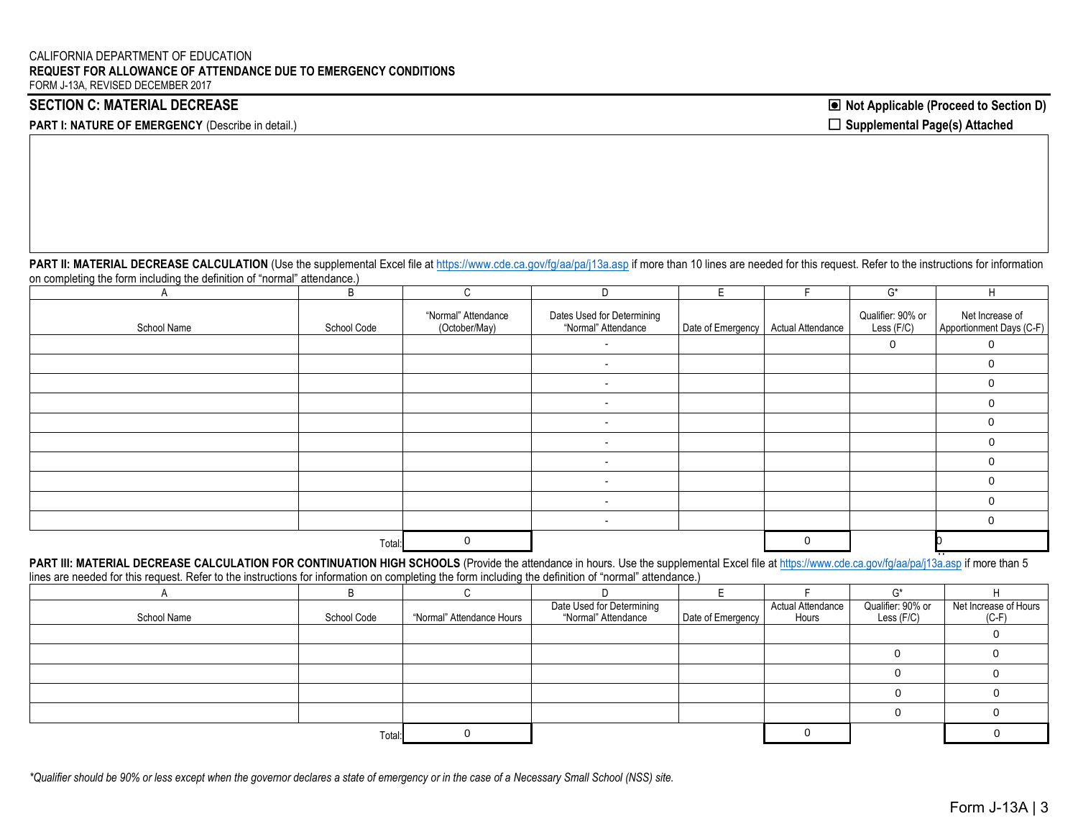**PART I: NATURE OF EMERGENCY** (Describe in detail.)

SECTION C: MATERIAL DECREASE **Note Applicable (Proceed to Section D**) □ Supplemental Page(s) Attached

PART II: MATERIAL DECREASE CALCULATION (Use the supplemental Excel file at https://www.cde.ca.gov/fg/aa/pa/j13a.asp if more than 10 lines are needed for this request. Refer to the instructions for information on completing the form including the definition of "normal" attendance.)

|             | B           | C                                    |                                                   |                   |                          | G*                              | H                                           |
|-------------|-------------|--------------------------------------|---------------------------------------------------|-------------------|--------------------------|---------------------------------|---------------------------------------------|
| School Name | School Code | "Normal" Attendance<br>(October/May) | Dates Used for Determining<br>"Normal" Attendance | Date of Emergency | <b>Actual Attendance</b> | Qualifier: 90% or<br>Less (F/C) | Net Increase of<br>Apportionment Days (C-F) |
|             |             |                                      |                                                   |                   |                          | $\mathbf 0$                     | $\Omega$                                    |
|             |             |                                      | $\overline{\phantom{a}}$                          |                   |                          |                                 |                                             |
|             |             |                                      |                                                   |                   |                          |                                 |                                             |
|             |             |                                      |                                                   |                   |                          |                                 |                                             |
|             |             |                                      |                                                   |                   |                          |                                 |                                             |
|             |             |                                      | $\overline{\phantom{0}}$                          |                   |                          |                                 |                                             |
|             |             |                                      | $\overline{\phantom{0}}$                          |                   |                          |                                 |                                             |
|             |             |                                      | $\overline{\phantom{a}}$                          |                   |                          |                                 |                                             |
|             |             |                                      |                                                   |                   |                          |                                 |                                             |
|             |             |                                      |                                                   |                   |                          |                                 |                                             |
|             | Total:      | 0                                    |                                                   |                   |                          |                                 |                                             |

PART III: MATERIAL DECREASE CALCULATION FOR CONTINUATION HIGH SCHOOLS (Provide the attendance in hours. Use the supplemental Excel file at https://www.cde.ca.gov/fg/aa/pa/j13a.asp if more than 5 lines are needed for this request. Refer to the instructions for information on completing the form including the definition of "normal" attendance.) 0

|             |             |                           |                                                  |                   |                                   | $\sim$ *                        |                                  |
|-------------|-------------|---------------------------|--------------------------------------------------|-------------------|-----------------------------------|---------------------------------|----------------------------------|
| School Name | School Code | "Normal" Attendance Hours | Date Used for Determining<br>"Normal" Attendance | Date of Emergency | <b>Actual Attendance</b><br>Hours | Qualifier: 90% or<br>Less (F/C) | Net Increase of Hours<br>$(C-F)$ |
|             |             |                           |                                                  |                   |                                   |                                 |                                  |
|             |             |                           |                                                  |                   |                                   |                                 |                                  |
|             |             |                           |                                                  |                   |                                   |                                 |                                  |
|             |             |                           |                                                  |                   |                                   |                                 |                                  |
|             |             |                           |                                                  |                   |                                   |                                 |                                  |
|             | Total:      |                           |                                                  |                   |                                   |                                 |                                  |

*\*Qualifier should be 90% or less except when the governor declares a state of emergency or in the case of a Necessary Small School (NSS) site.*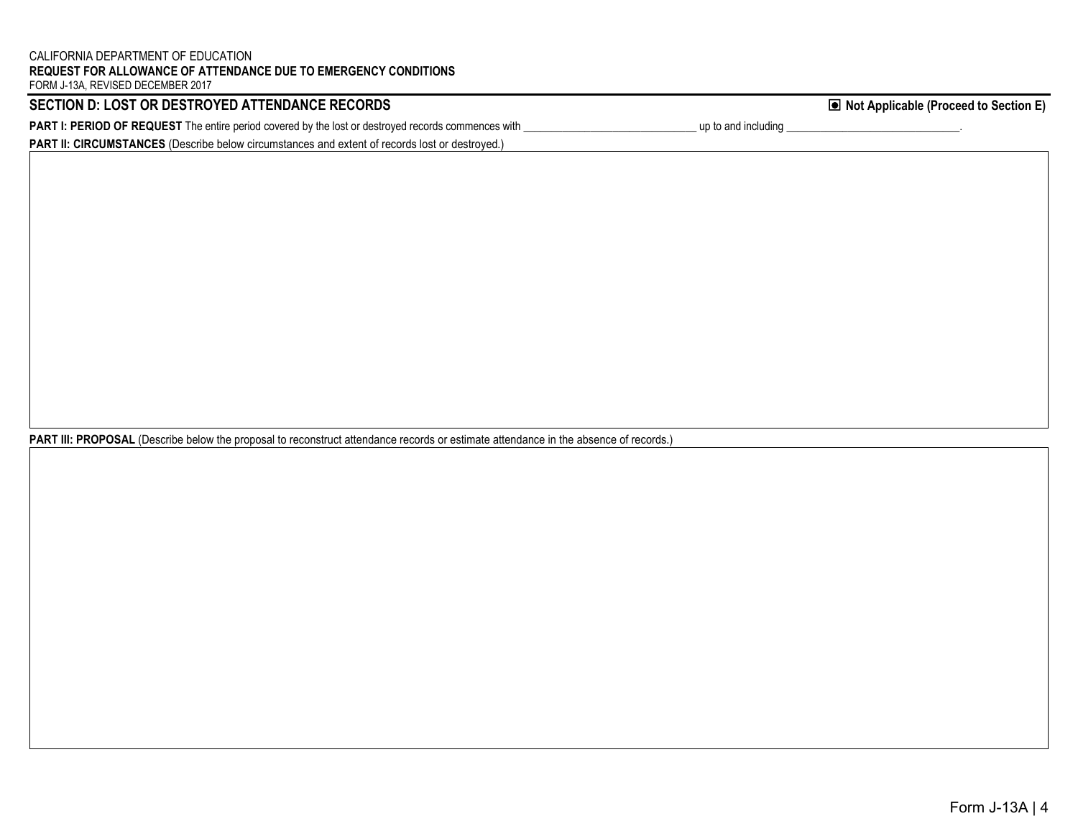## CALIFORNIA DEPARTMENT OF EDUCATION **REQUEST FOR ALLOWANCE OF ATTENDANCE DUE TO EMERGENCY CONDITIONS**

FORM J-13A, REVISED DECEMBER 2017

| SECTION D: LOST OR DESTROYED ATTENDANCE RECORDS                                                            | ■ Not Applicable (Proceed to Section E) |
|------------------------------------------------------------------------------------------------------------|-----------------------------------------|
| <b>PART I: PERIOD OF REQUEST</b> The entire period covered by the lost or destroyed records commences with | up to and including                     |
| <b>PART II: CIRCUMSTANCES</b> (Describe below circumstances and extent of records lost or destroyed.)      |                                         |

**PART III: PROPOSAL** (Describe below the proposal to reconstruct attendance records or estimate attendance in the absence of records.)